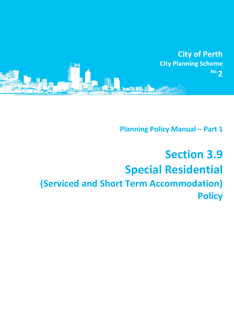

**Planning Policy Manual - Part 1** 

# **Section 3.9 Special Residential (Serviced and Short Term Accommodation) Policy**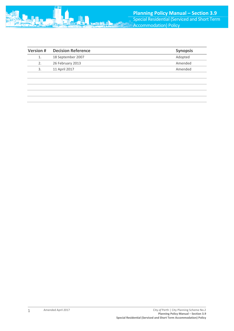

| <b>Version #</b> | <b>Decision Reference</b> | <b>Synopsis</b> |
|------------------|---------------------------|-----------------|
| 1.               | 18 September 2007         | Adopted         |
| 2.               | 26 February 2013          | Amended         |
| 3.               | 11 April 2017             | Amended         |
|                  |                           |                 |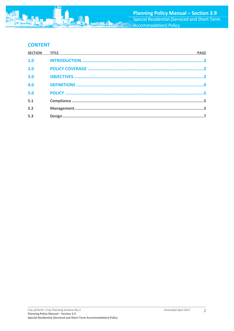

## **CONTENT**

| <b>PAGE</b> |
|-------------|
|             |
|             |
|             |
|             |
|             |
|             |
|             |
|             |
|             |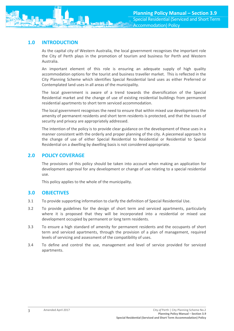## <span id="page-3-0"></span>**1.0 INTRODUCTION**

As the capital city of Western Australia, the local government recognises the important role the City of Perth plays in the promotion of tourism and business for Perth and Western Australia.

An important element of this role is ensuring an adequate supply of high quality accommodation options for the tourist and business traveller market. This is reflected in the City Planning Scheme which identifies Special Residential land uses as either Preferred or Contemplated land uses in all areas of the municipality.

The local government is aware of a trend towards the diversification of the Special Residential market and the change of use of existing residential buildings from permanent residential apartments to short term serviced accommodation.

The local government recognises the need to ensure that within mixed use developments the amenity of permanent residents and short term residents is protected, and that the issues of security and privacy are appropriately addressed.

The intention of the policy is to provide clear guidance on the development of these uses in a manner consistent with the orderly and proper planning of the city. A piecemeal approach to the change of use of either Special Residential to Residential or Residential to Special Residential on a dwelling by dwelling basis is not considered appropriate.

## <span id="page-3-1"></span>**2.0 POLICY COVERAGE**

The provisions of this policy should be taken into account when making an application for development approval for any development or change of use relating to a special residential use.

This policy applies to the whole of the municipality.

## <span id="page-3-2"></span>**3.0 OBJECTIVES**

- 3.1 To provide supporting information to clarify the definition of Special Residential Use.
- 3.2 To provide guidelines for the design of short term and serviced apartments, particularly where it is proposed that they will be incorporated into a residential or mixed use development occupied by permanent or long term residents.
- 3.3 To ensure a high standard of amenity for permanent residents and the occupants of short term and serviced apartments, through the provision of a plan of management, required levels of servicing and assessment of the compatibility of uses.
- 3.4 To define and control the use, management and level of service provided for serviced apartments.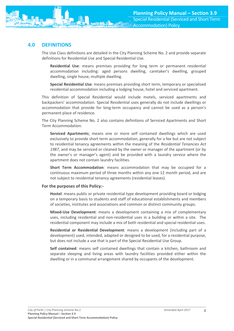## <span id="page-4-0"></span>**4.0 DEFINITIONS**

The Use Class definitions are detailed in the City Planning Scheme No. 2 and provide separate definitions for Residential Use and Special Residential Use.

**Residential Use**: means premises providing for long term or permanent residential accommodation including: aged persons dwelling, caretaker's dwelling, grouped dwelling, single house, multiple dwelling.

**Special Residential Use**: means premises providing short term, temporary or specialised residential accommodation including a lodging house, hotel and serviced apartment.

This definition of Special Residential would include motels, serviced apartments and backpackers' accommodation. Special Residential uses generally do not include dwellings or accommodation that provide for long-term occupancy and cannot be used as a person's permanent place of residence.

The City Planning Scheme No. 2 also contains definitions of Serviced Apartments and Short Term Accommodation.

**Serviced Apartments**: means one or more self contained dwellings which are used exclusively to provide short term accommodation, generally for a fee but are not subject to residential tenancy agreements within the meaning of the *Residential Tenancies Act 1987*, and may be serviced or cleaned by the owner or manager of the apartment (or by the owner's or manager's agent) and be provided with a laundry service where the apartment does not contain laundry facilities.

**Short Term Accommodation**: means accommodation that may be occupied for a continuous maximum period of three months within any one 12 month period, and are not subject to residential tenancy agreements (residential leases).

#### **For the purposes of this Policy:-**

**Hostel**: means public or private residential type development providing board or lodging on a temporary basis to students and staff of educational establishments and members of societies, institutes and associations and common or distinct community groups.

**Mixed-Use Development**: means a development containing a mix of complementary uses, including residential and non-residential uses in a building or within a site. The residential component may include a mix of both residential and special residential uses.

**Residential or Residential Development**: means a development (including part of a development) used, intended, adapted or designed to be used, for a residential purpose, but does not include a use that is part of the Special Residential Use Group.

**Self contained**: means self contained dwellings that contain a kitchen, bathroom and separate sleeping and living areas with laundry facilities provided either within the dwelling or in a communal arrangement shared by occupants of the development.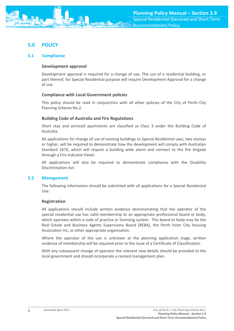## <span id="page-5-0"></span>**5.0 POLICY**

#### <span id="page-5-1"></span>**5.1 Compliance**

#### **Development approval**

Development approval is required for a change of use. The use of a residential building, or part thereof, for Special Residential purpose will require Development Approval for a change of use.

#### **Compliance with Local Government policies**

This policy should be read in conjunction with all other policies of the City of Perth City Planning Scheme No.2.

#### **Building Code of Australia and Fire Regulations**

Short stay and serviced apartments are classified as Class 3 under the Building Code of Australia.

All applications for change of use of existing buildings to Special Residential uses, two storeys or higher, will be required to demonstrate how the development will comply with Australian Standard 1670, which will require a building wide alarm and connect to the fire brigade through a Fire Indicator Panel.

All applications will also be required to demonstrate compliance with the Disability Discrimination Act.

#### <span id="page-5-2"></span>**5.2 Management**

The following information should be submitted with all applications for a Special Residential Use:

#### **Registration**

All applications should include written evidence demonstrating that the operator of the special residential use has valid membership to an appropriate professional board or body, which operates within a code of practice or licensing system. This board or body may be the Real Estate and Business Agents Supervisory Board (REBA), the Perth Inner City Housing Association Inc, or other appropriate organisation.

Where the operator of the use is unknown at the planning application stage, written evidence of membership will be required prior to the issue of a Certificate of Classification.

With any subsequent change of operator the relevant new details should be provided to the local government and should incorporate a revised management plan.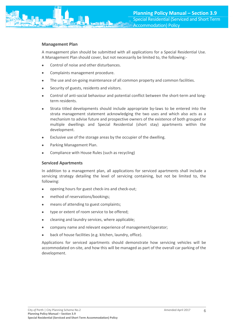#### **Management Plan**

A management plan should be submitted with all applications for a Special Residential Use. A Management Plan should cover, but not necessarily be limited to, the following:-

- Control of noise and other disturbances.
- Complaints management procedure.
- The use and on-going maintenance of all common property and common facilities.
- Security of guests, residents and visitors.
- Control of anti-social behaviour and potential conflict between the short-term and longterm residents.
- Strata titled developments should include appropriate by-laws to be entered into the strata management statement acknowledging the two uses and which also acts as a mechanism to advise future and prospective owners of the existence of both grouped or multiple dwellings and Special Residential (short stay) apartments within the development.
- Exclusive use of the storage areas by the occupier of the dwelling.
- Parking Management Plan.
- Compliance with House Rules (such as recycling)

#### **Serviced Apartments**

In addition to a management plan, all applications for serviced apartments shall include a servicing strategy detailing the level of servicing containing, but not be limited to, the following:

- opening hours for guest check-ins and check-out;
- method of reservations/bookings;
- means of attending to guest complaints;
- type or extent of room service to be offered;
- cleaning and laundry services, where applicable;
- company name and relevant experience of management/operator;
- back of house facilities (e.g. kitchen, laundry, office).

Applications for serviced apartments should demonstrate how servicing vehicles will be accommodated on-site, and how this will be managed as part of the overall car parking of the development.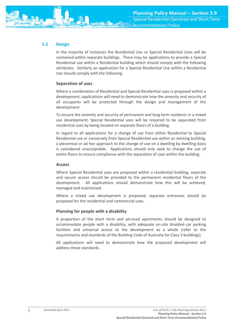### <span id="page-7-0"></span>**5.3 Design**

In the majority of instances the Residential Use or Special Residential Uses will be contained within separate buildings. There may be applications to provide a Special Residential use within a Residential building which should comply with the following attributes. Similarly an application for a Special Residential Use within a Residential Use should comply with the following.

#### **Separation of uses**

Where a combination of Residential and Special Residential uses is proposed within a development; applications will need to demonstrate how the amenity and security of all occupants will be protected through the design and management of the development.

To ensure the amenity and security of permanent and long term residents in a mixed use development; Special Residential uses will be required to be separated from residential uses by being located on separate floors of a building.

In regard to all applications for a change of use from either Residential to Special Residential use or conversely from Special Residential use within an existing building, a piecemeal or ad hoc approach to the change of use on a dwelling by dwelling basis is considered unacceptable. Applications should only seek to change the use of entire floors to ensure compliance with the separation of uses within the building.

#### **Access**

Where Special Residential uses are proposed within a residential building, separate and secure access should be provided to the permanent residential floors of the development. All applications should demonstrate how this will be achieved, managed and maintained.

Where a mixed use development is proposed, separate entrances should be proposed for the residential and commercial uses.

#### **Planning for people with a disability**

A proportion of the short term and serviced apartments should be designed to accommodate people with a disability; with adequate on-site disabled car parking facilities and universal access to the development as a whole (refer to the requirements and standards of the Building Code of Australia for Class 3 buildings).

All applications will need to demonstrate how the proposed development will address these standards.